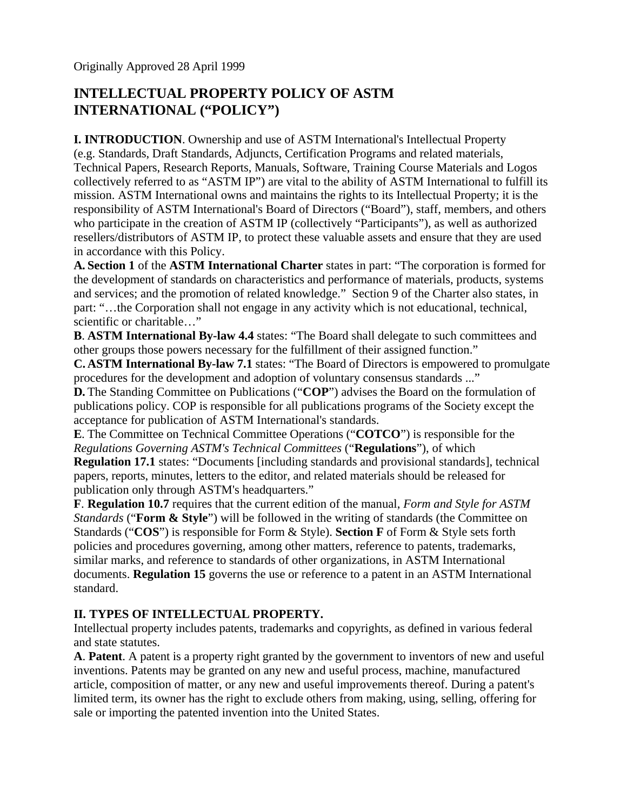# **INTELLECTUAL PROPERTY POLICY OF ASTM INTERNATIONAL ("POLICY")**

**I. INTRODUCTION**. Ownership and use of ASTM International's Intellectual Property (e.g. Standards, Draft Standards, Adjuncts, Certification Programs and related materials, Technical Papers, Research Reports, Manuals, Software, Training Course Materials and Logos collectively referred to as "ASTM IP") are vital to the ability of ASTM International to fulfill its mission. ASTM International owns and maintains the rights to its Intellectual Property; it is the responsibility of ASTM International's Board of Directors ("Board"), staff, members, and others who participate in the creation of ASTM IP (collectively "Participants"), as well as authorized resellers/distributors of ASTM IP, to protect these valuable assets and ensure that they are used in accordance with this Policy.

**A. Section 1** of the **ASTM International Charter** states in part: "The corporation is formed for the development of standards on characteristics and performance of materials, products, systems and services; and the promotion of related knowledge." Section 9 of the Charter also states, in part: "…the Corporation shall not engage in any activity which is not educational, technical, scientific or charitable…"

**B**. **ASTM International By-law 4.4** states: "The Board shall delegate to such committees and other groups those powers necessary for the fulfillment of their assigned function."

**C. ASTM International By-law 7.1** states: "The Board of Directors is empowered to promulgate procedures for the development and adoption of voluntary consensus standards ..."

**D.** The Standing Committee on Publications ("**COP**") advises the Board on the formulation of publications policy. COP is responsible for all publications programs of the Society except the acceptance for publication of ASTM International's standards.

**E**. The Committee on Technical Committee Operations ("**COTCO**") is responsible for the *Regulations Governing ASTM's Technical Committees* ("**Regulations**"), of which

**Regulation 17.1** states: "Documents [including standards and provisional standards], technical papers, reports, minutes, letters to the editor, and related materials should be released for publication only through ASTM's headquarters."

**F**. **Regulation 10.7** requires that the current edition of the manual, *Form and Style for ASTM Standards* ("**Form & Style**") will be followed in the writing of standards (the Committee on Standards ("**COS**") is responsible for Form & Style). **Section F** of Form & Style sets forth policies and procedures governing, among other matters, reference to patents, trademarks, similar marks, and reference to standards of other organizations, in ASTM International documents. **Regulation 15** governs the use or reference to a patent in an ASTM International standard.

# **II. TYPES OF INTELLECTUAL PROPERTY.**

Intellectual property includes patents, trademarks and copyrights, as defined in various federal and state statutes.

**A**. **Patent**. A patent is a property right granted by the government to inventors of new and useful inventions. Patents may be granted on any new and useful process, machine, manufactured article, composition of matter, or any new and useful improvements thereof. During a patent's limited term, its owner has the right to exclude others from making, using, selling, offering for sale or importing the patented invention into the United States.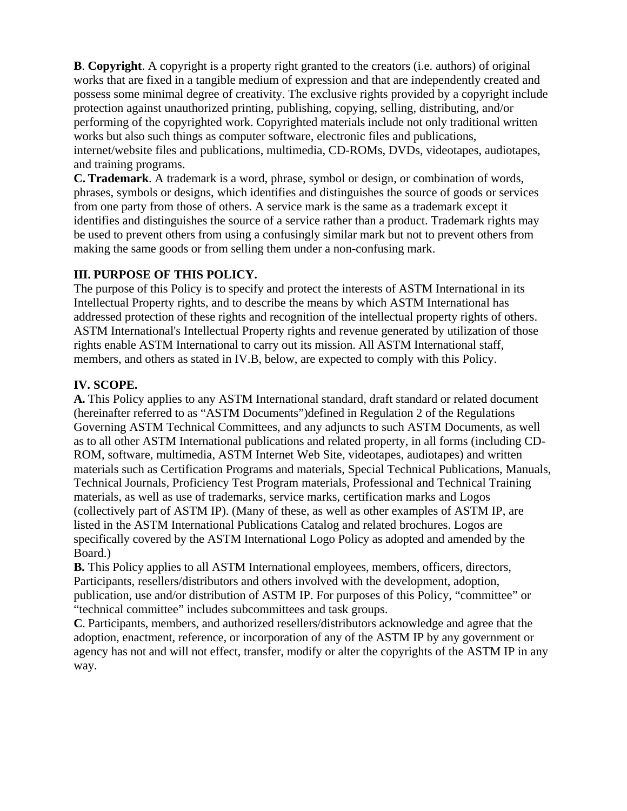**B**. **Copyright**. A copyright is a property right granted to the creators (i.e. authors) of original works that are fixed in a tangible medium of expression and that are independently created and possess some minimal degree of creativity. The exclusive rights provided by a copyright include protection against unauthorized printing, publishing, copying, selling, distributing, and/or performing of the copyrighted work. Copyrighted materials include not only traditional written works but also such things as computer software, electronic files and publications, internet/website files and publications, multimedia, CD-ROMs, DVDs, videotapes, audiotapes, and training programs.

**C. Trademark**. A trademark is a word, phrase, symbol or design, or combination of words, phrases, symbols or designs, which identifies and distinguishes the source of goods or services from one party from those of others. A service mark is the same as a trademark except it identifies and distinguishes the source of a service rather than a product. Trademark rights may be used to prevent others from using a confusingly similar mark but not to prevent others from making the same goods or from selling them under a non-confusing mark.

### **III. PURPOSE OF THIS POLICY.**

The purpose of this Policy is to specify and protect the interests of ASTM International in its Intellectual Property rights, and to describe the means by which ASTM International has addressed protection of these rights and recognition of the intellectual property rights of others. ASTM International's Intellectual Property rights and revenue generated by utilization of those rights enable ASTM International to carry out its mission. All ASTM International staff, members, and others as stated in IV.B, below, are expected to comply with this Policy.

### **IV. SCOPE.**

**A.** This Policy applies to any ASTM International standard, draft standard or related document (hereinafter referred to as "ASTM Documents")defined in Regulation 2 of the Regulations Governing ASTM Technical Committees, and any adjuncts to such ASTM Documents, as well as to all other ASTM International publications and related property, in all forms (including CD-ROM, software, multimedia, ASTM Internet Web Site, videotapes, audiotapes) and written materials such as Certification Programs and materials, Special Technical Publications, Manuals, Technical Journals, Proficiency Test Program materials, Professional and Technical Training materials, as well as use of trademarks, service marks, certification marks and Logos (collectively part of ASTM IP). (Many of these, as well as other examples of ASTM IP, are listed in the ASTM International Publications Catalog and related brochures. Logos are specifically covered by the ASTM International Logo Policy as adopted and amended by the Board.)

**B.** This Policy applies to all ASTM International employees, members, officers, directors, Participants, resellers/distributors and others involved with the development, adoption, publication, use and/or distribution of ASTM IP. For purposes of this Policy, "committee" or "technical committee" includes subcommittees and task groups.

**C**. Participants, members, and authorized resellers/distributors acknowledge and agree that the adoption, enactment, reference, or incorporation of any of the ASTM IP by any government or agency has not and will not effect, transfer, modify or alter the copyrights of the ASTM IP in any way.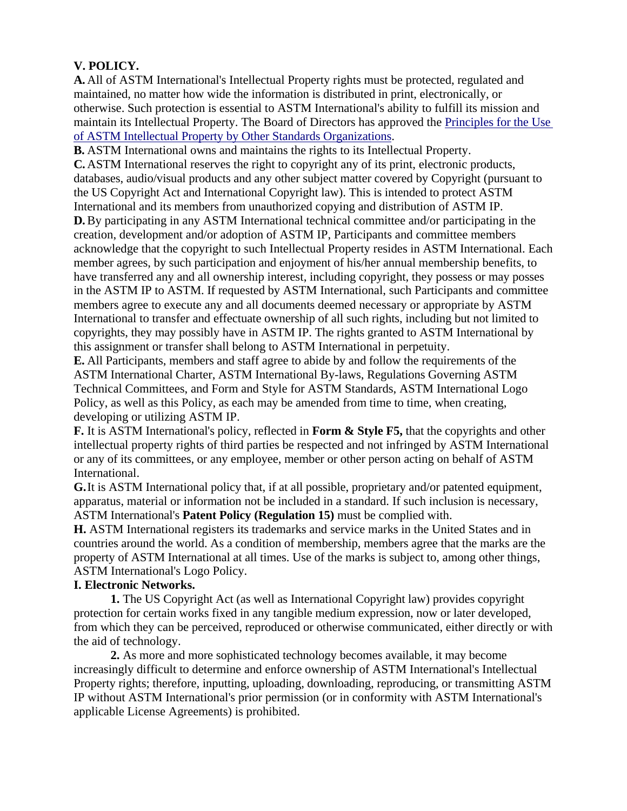# **V. POLICY.**

**A.** All of ASTM International's Intellectual Property rights must be protected, regulated and maintained, no matter how wide the information is distributed in print, electronically, or otherwise. Such protection is essential to ASTM International's ability to fulfill its mission and maintain its Intellectual Property. The Board of Directors has approved the [Principles for the Use](http://www.astm.org/COMMIT/IPPrinciples.pdf)  [of ASTM Intellectual Property by Other Standards Organizations.](http://www.astm.org/COMMIT/IPPrinciples.pdf)

**B.** ASTM International owns and maintains the rights to its Intellectual Property.

**C.** ASTM International reserves the right to copyright any of its print, electronic products, databases, audio/visual products and any other subject matter covered by Copyright (pursuant to the US Copyright Act and International Copyright law). This is intended to protect ASTM International and its members from unauthorized copying and distribution of ASTM IP.

**D.** By participating in any ASTM International technical committee and/or participating in the creation, development and/or adoption of ASTM IP, Participants and committee members acknowledge that the copyright to such Intellectual Property resides in ASTM International. Each member agrees, by such participation and enjoyment of his/her annual membership benefits, to have transferred any and all ownership interest, including copyright, they possess or may posses in the ASTM IP to ASTM. If requested by ASTM International, such Participants and committee members agree to execute any and all documents deemed necessary or appropriate by ASTM International to transfer and effectuate ownership of all such rights, including but not limited to copyrights, they may possibly have in ASTM IP. The rights granted to ASTM International by this assignment or transfer shall belong to ASTM International in perpetuity.

**E.** All Participants, members and staff agree to abide by and follow the requirements of the ASTM International Charter, ASTM International By-laws, Regulations Governing ASTM Technical Committees, and Form and Style for ASTM Standards, ASTM International Logo Policy, as well as this Policy, as each may be amended from time to time, when creating, developing or utilizing ASTM IP.

**F.** It is ASTM International's policy, reflected in **Form & Style F5,** that the copyrights and other intellectual property rights of third parties be respected and not infringed by ASTM International or any of its committees, or any employee, member or other person acting on behalf of ASTM International.

**G.** It is ASTM International policy that, if at all possible, proprietary and/or patented equipment, apparatus, material or information not be included in a standard. If such inclusion is necessary, ASTM International's **Patent Policy (Regulation 15)** must be complied with.

**H.** ASTM International registers its trademarks and service marks in the United States and in countries around the world. As a condition of membership, members agree that the marks are the property of ASTM International at all times. Use of the marks is subject to, among other things, ASTM International's Logo Policy.

### **I. Electronic Networks.**

**1.** The US Copyright Act (as well as International Copyright law) provides copyright protection for certain works fixed in any tangible medium expression, now or later developed, from which they can be perceived, reproduced or otherwise communicated, either directly or with the aid of technology.

**2.** As more and more sophisticated technology becomes available, it may become increasingly difficult to determine and enforce ownership of ASTM International's Intellectual Property rights; therefore, inputting, uploading, downloading, reproducing, or transmitting ASTM IP without ASTM International's prior permission (or in conformity with ASTM International's applicable License Agreements) is prohibited.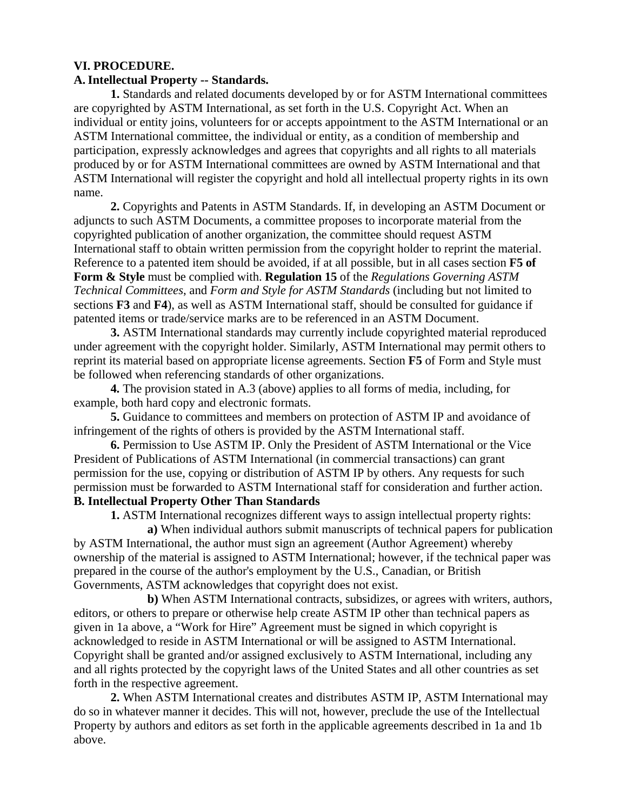#### **VI. PROCEDURE.**

#### **A. Intellectual Property -- Standards.**

**1.** Standards and related documents developed by or for ASTM International committees are copyrighted by ASTM International, as set forth in the U.S. Copyright Act. When an individual or entity joins, volunteers for or accepts appointment to the ASTM International or an ASTM International committee, the individual or entity, as a condition of membership and participation, expressly acknowledges and agrees that copyrights and all rights to all materials produced by or for ASTM International committees are owned by ASTM International and that ASTM International will register the copyright and hold all intellectual property rights in its own name.

**2.** Copyrights and Patents in ASTM Standards. If, in developing an ASTM Document or adjuncts to such ASTM Documents, a committee proposes to incorporate material from the copyrighted publication of another organization, the committee should request ASTM International staff to obtain written permission from the copyright holder to reprint the material. Reference to a patented item should be avoided, if at all possible, but in all cases section **F5 of Form & Style** must be complied with. **Regulation 15** of the *Regulations Governing ASTM Technical Committees*, and *Form and Style for ASTM Standards* (including but not limited to sections **F3** and **F4**), as well as ASTM International staff, should be consulted for guidance if patented items or trade/service marks are to be referenced in an ASTM Document.

**3.** ASTM International standards may currently include copyrighted material reproduced under agreement with the copyright holder. Similarly, ASTM International may permit others to reprint its material based on appropriate license agreements. Section **F5** of Form and Style must be followed when referencing standards of other organizations.

**4.** The provision stated in A.3 (above) applies to all forms of media, including, for example, both hard copy and electronic formats.

**5.** Guidance to committees and members on protection of ASTM IP and avoidance of infringement of the rights of others is provided by the ASTM International staff.

**6.** Permission to Use ASTM IP. Only the President of ASTM International or the Vice President of Publications of ASTM International (in commercial transactions) can grant permission for the use, copying or distribution of ASTM IP by others. Any requests for such permission must be forwarded to ASTM International staff for consideration and further action. **B. Intellectual Property Other Than Standards**

**1.** ASTM International recognizes different ways to assign intellectual property rights:

**a)** When individual authors submit manuscripts of technical papers for publication by ASTM International, the author must sign an agreement (Author Agreement) whereby ownership of the material is assigned to ASTM International; however, if the technical paper was prepared in the course of the author's employment by the U.S., Canadian, or British Governments, ASTM acknowledges that copyright does not exist.

**b)** When ASTM International contracts, subsidizes, or agrees with writers, authors, editors, or others to prepare or otherwise help create ASTM IP other than technical papers as given in 1a above, a "Work for Hire" Agreement must be signed in which copyright is acknowledged to reside in ASTM International or will be assigned to ASTM International. Copyright shall be granted and/or assigned exclusively to ASTM International, including any and all rights protected by the copyright laws of the United States and all other countries as set forth in the respective agreement.

**2.** When ASTM International creates and distributes ASTM IP, ASTM International may do so in whatever manner it decides. This will not, however, preclude the use of the Intellectual Property by authors and editors as set forth in the applicable agreements described in 1a and 1b above.